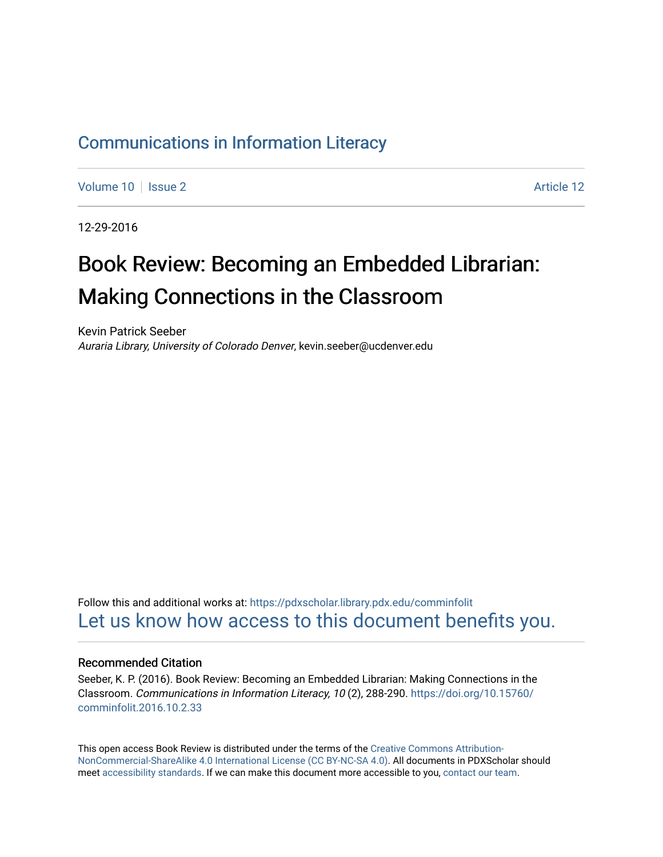### [Communications in Information Literacy](https://pdxscholar.library.pdx.edu/comminfolit)

[Volume 10](https://pdxscholar.library.pdx.edu/comminfolit/vol10) | [Issue 2](https://pdxscholar.library.pdx.edu/comminfolit/vol10/iss2) Article 12

12-29-2016

# Book Review: Becoming an Embedded Librarian: Making Connections in the Classroom

Kevin Patrick Seeber Auraria Library, University of Colorado Denver, kevin.seeber@ucdenver.edu

Follow this and additional works at: [https://pdxscholar.library.pdx.edu/comminfolit](https://pdxscholar.library.pdx.edu/comminfolit?utm_source=pdxscholar.library.pdx.edu%2Fcomminfolit%2Fvol10%2Fiss2%2F12&utm_medium=PDF&utm_campaign=PDFCoverPages)  [Let us know how access to this document benefits you.](http://library.pdx.edu/services/pdxscholar-services/pdxscholar-feedback/) 

#### Recommended Citation

Seeber, K. P. (2016). Book Review: Becoming an Embedded Librarian: Making Connections in the Classroom. Communications in Information Literacy, 10 (2), 288-290. [https://doi.org/10.15760/](https://doi.org/10.15760/comminfolit.2016.10.2.33) [comminfolit.2016.10.2.33](https://doi.org/10.15760/comminfolit.2016.10.2.33) 

This open access Book Review is distributed under the terms of the [Creative Commons Attribution-](https://creativecommons.org/licenses/by-nc-sa/4.0/)[NonCommercial-ShareAlike 4.0 International License \(CC BY-NC-SA 4.0\)](https://creativecommons.org/licenses/by-nc-sa/4.0/). All documents in PDXScholar should meet [accessibility standards](https://pdxscholar.library.pdx.edu/accessibility.html). If we can make this document more accessible to you, [contact our team.](mailto:pdxscholar@pdx.edu)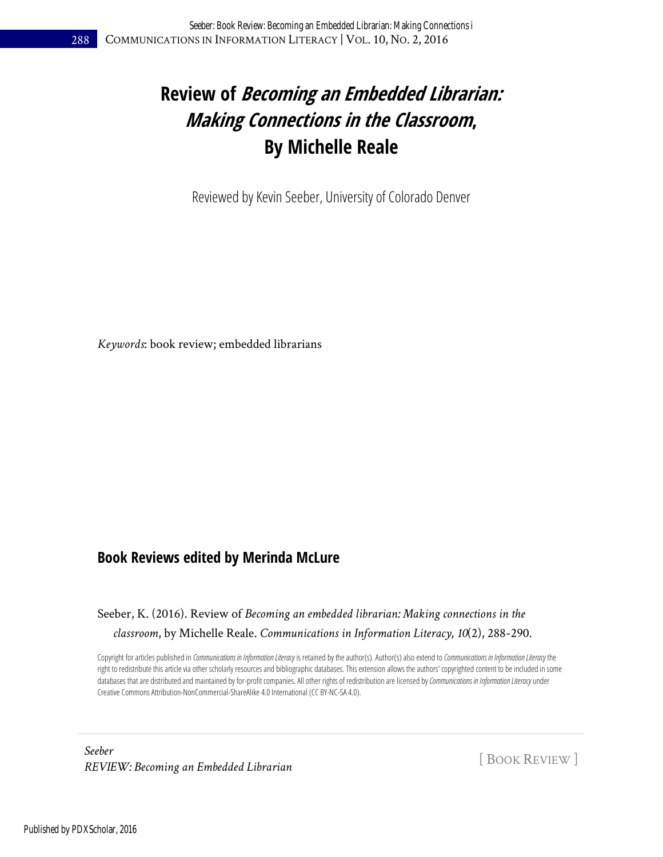### **Review of Becoming an Embedded Librarian: Making Connections in the Classroom, By Michelle Reale**

Reviewed by Kevin Seeber, University of Colorado Denver

*Keywords*: book review; embedded librarians

#### **Book Reviews edited by Merinda McLure**

#### Seeber, K. (2016). Review of *Becoming an embedded librarian: Making connections in the classroom*, by Michelle Reale. *Communications in Information Literacy, 10*(2), 288-290.

Copyright for articles published in *Communications in Information Literacy* is retained by the author(s). Author(s) also extend to *Communications in Information Literacy* the right to redistribute this articlevia other scholarly resources and bibliographic databases. This extension allows the authors' copyrighted content to be included in some databases that are distributed and maintained by for-profit companies. All other rights of redistribution are licensed by Communications in Information Literacy under Creative Commons Attribution-NonCommercial-ShareAlike 4.0 International (CC BY-NC-SA 4.0).

*Seeber REVIEW: Becoming an Embedded Librarian* [ BOOK REVIEW ]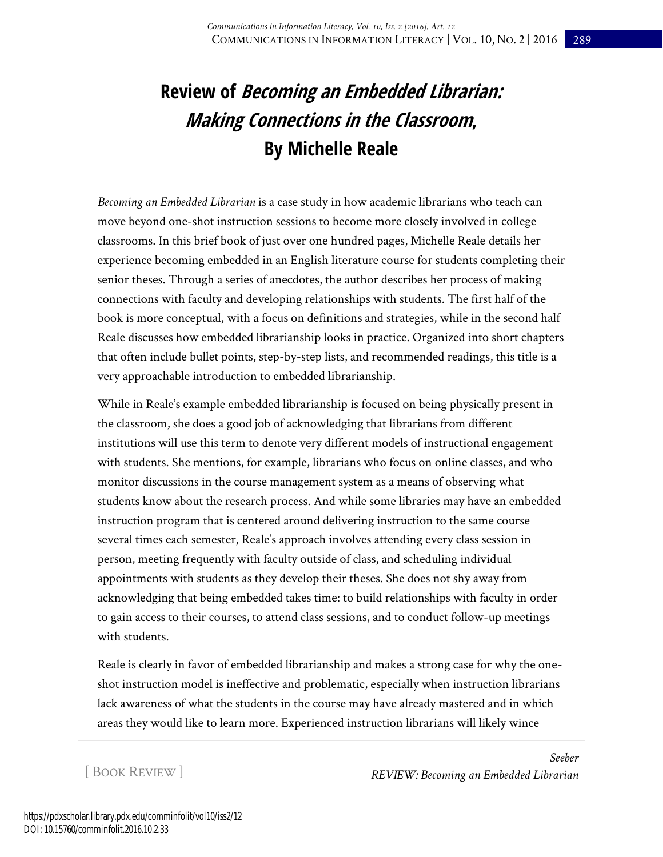## **Review of Becoming an Embedded Librarian: Making Connections in the Classroom, By Michelle Reale**

*Becoming an Embedded Librarian* is a case study in how academic librarians who teach can move beyond one-shot instruction sessions to become more closely involved in college classrooms. In this brief book of just over one hundred pages, Michelle Reale details her experience becoming embedded in an English literature course for students completing their senior theses. Through a series of anecdotes, the author describes her process of making connections with faculty and developing relationships with students. The first half of the book is more conceptual, with a focus on definitions and strategies, while in the second half Reale discusses how embedded librarianship looks in practice. Organized into short chapters that often include bullet points, step-by-step lists, and recommended readings, this title is a very approachable introduction to embedded librarianship.

While in Reale's example embedded librarianship is focused on being physically present in the classroom, she does a good job of acknowledging that librarians from different institutions will use this term to denote very different models of instructional engagement with students. She mentions, for example, librarians who focus on online classes, and who monitor discussions in the course management system as a means of observing what students know about the research process. And while some libraries may have an embedded instruction program that is centered around delivering instruction to the same course several times each semester, Reale's approach involves attending every class session in person, meeting frequently with faculty outside of class, and scheduling individual appointments with students as they develop their theses. She does not shy away from acknowledging that being embedded takes time: to build relationships with faculty in order to gain access to their courses, to attend class sessions, and to conduct follow-up meetings with students.

Reale is clearly in favor of embedded librarianship and makes a strong case for why the oneshot instruction model is ineffective and problematic, especially when instruction librarians lack awareness of what the students in the course may have already mastered and in which areas they would like to learn more. Experienced instruction librarians will likely wince

[ BOOK REVIEW ]